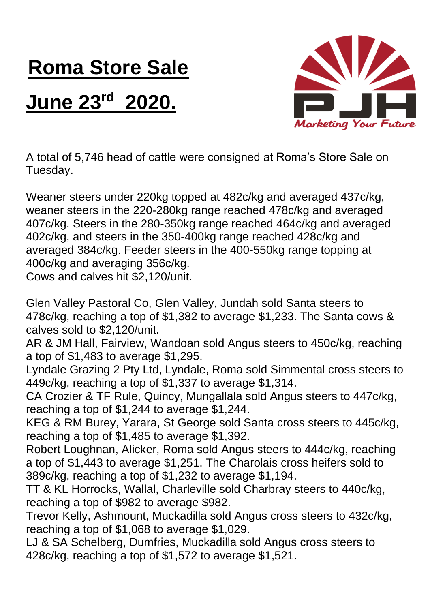## **Roma Store Sale**

## **June 23rd 2020.**



A total of 5,746 head of cattle were consigned at Roma's Store Sale on Tuesday.

Weaner steers under 220kg topped at 482c/kg and averaged 437c/kg, weaner steers in the 220-280kg range reached 478c/kg and averaged 407c/kg. Steers in the 280-350kg range reached 464c/kg and averaged 402c/kg, and steers in the 350-400kg range reached 428c/kg and averaged 384c/kg. Feeder steers in the 400-550kg range topping at 400c/kg and averaging 356c/kg.

Cows and calves hit \$2,120/unit.

Glen Valley Pastoral Co, Glen Valley, Jundah sold Santa steers to 478c/kg, reaching a top of \$1,382 to average \$1,233. The Santa cows & calves sold to \$2,120/unit.

AR & JM Hall, Fairview, Wandoan sold Angus steers to 450c/kg, reaching a top of \$1,483 to average \$1,295.

Lyndale Grazing 2 Pty Ltd, Lyndale, Roma sold Simmental cross steers to 449c/kg, reaching a top of \$1,337 to average \$1,314.

CA Crozier & TF Rule, Quincy, Mungallala sold Angus steers to 447c/kg, reaching a top of \$1,244 to average \$1,244.

KEG & RM Burey, Yarara, St George sold Santa cross steers to 445c/kg, reaching a top of \$1,485 to average \$1,392.

Robert Loughnan, Alicker, Roma sold Angus steers to 444c/kg, reaching a top of \$1,443 to average \$1,251. The Charolais cross heifers sold to 389c/kg, reaching a top of \$1,232 to average \$1,194.

TT & KL Horrocks, Wallal, Charleville sold Charbray steers to 440c/kg, reaching a top of \$982 to average \$982.

Trevor Kelly, Ashmount, Muckadilla sold Angus cross steers to 432c/kg, reaching a top of \$1,068 to average \$1,029.

LJ & SA Schelberg, Dumfries, Muckadilla sold Angus cross steers to 428c/kg, reaching a top of \$1,572 to average \$1,521.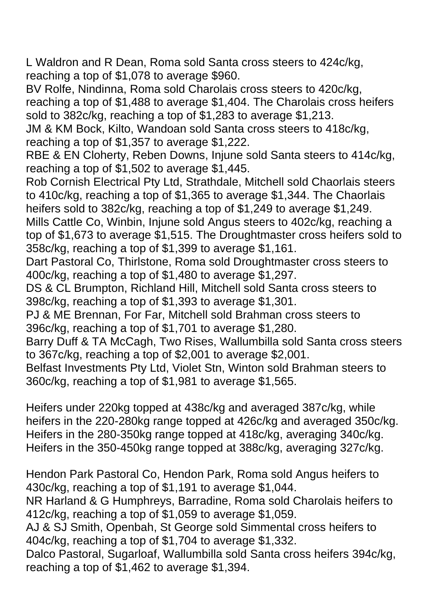L Waldron and R Dean, Roma sold Santa cross steers to 424c/kg, reaching a top of \$1,078 to average \$960.

BV Rolfe, Nindinna, Roma sold Charolais cross steers to 420c/kg, reaching a top of \$1,488 to average \$1,404. The Charolais cross heifers sold to 382c/kg, reaching a top of \$1,283 to average \$1,213.

JM & KM Bock, Kilto, Wandoan sold Santa cross steers to 418c/kg, reaching a top of \$1,357 to average \$1,222.

RBE & EN Cloherty, Reben Downs, Injune sold Santa steers to 414c/kg, reaching a top of \$1,502 to average \$1,445.

Rob Cornish Electrical Pty Ltd, Strathdale, Mitchell sold Chaorlais steers to 410c/kg, reaching a top of \$1,365 to average \$1,344. The Chaorlais heifers sold to 382c/kg, reaching a top of \$1,249 to average \$1,249.

Mills Cattle Co, Winbin, Injune sold Angus steers to 402c/kg, reaching a top of \$1,673 to average \$1,515. The Droughtmaster cross heifers sold to 358c/kg, reaching a top of \$1,399 to average \$1,161.

Dart Pastoral Co, Thirlstone, Roma sold Droughtmaster cross steers to 400c/kg, reaching a top of \$1,480 to average \$1,297.

DS & CL Brumpton, Richland Hill, Mitchell sold Santa cross steers to 398c/kg, reaching a top of \$1,393 to average \$1,301.

PJ & ME Brennan, For Far, Mitchell sold Brahman cross steers to 396c/kg, reaching a top of \$1,701 to average \$1,280.

Barry Duff & TA McCagh, Two Rises, Wallumbilla sold Santa cross steers to 367c/kg, reaching a top of \$2,001 to average \$2,001.

Belfast Investments Pty Ltd, Violet Stn, Winton sold Brahman steers to 360c/kg, reaching a top of \$1,981 to average \$1,565.

Heifers under 220kg topped at 438c/kg and averaged 387c/kg, while heifers in the 220-280kg range topped at 426c/kg and averaged 350c/kg. Heifers in the 280-350kg range topped at 418c/kg, averaging 340c/kg. Heifers in the 350-450kg range topped at 388c/kg, averaging 327c/kg.

Hendon Park Pastoral Co, Hendon Park, Roma sold Angus heifers to 430c/kg, reaching a top of \$1,191 to average \$1,044.

NR Harland & G Humphreys, Barradine, Roma sold Charolais heifers to 412c/kg, reaching a top of \$1,059 to average \$1,059.

AJ & SJ Smith, Openbah, St George sold Simmental cross heifers to 404c/kg, reaching a top of \$1,704 to average \$1,332.

Dalco Pastoral, Sugarloaf, Wallumbilla sold Santa cross heifers 394c/kg, reaching a top of \$1,462 to average \$1,394.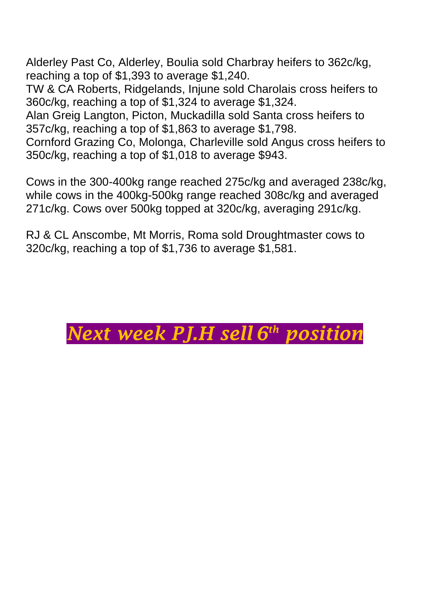Alderley Past Co, Alderley, Boulia sold Charbray heifers to 362c/kg, reaching a top of \$1,393 to average \$1,240.

TW & CA Roberts, Ridgelands, Injune sold Charolais cross heifers to 360c/kg, reaching a top of \$1,324 to average \$1,324.

Alan Greig Langton, Picton, Muckadilla sold Santa cross heifers to 357c/kg, reaching a top of \$1,863 to average \$1,798.

Cornford Grazing Co, Molonga, Charleville sold Angus cross heifers to 350c/kg, reaching a top of \$1,018 to average \$943.

Cows in the 300-400kg range reached 275c/kg and averaged 238c/kg, while cows in the 400kg-500kg range reached 308c/kg and averaged 271c/kg. Cows over 500kg topped at 320c/kg, averaging 291c/kg.

RJ & CL Anscombe, Mt Morris, Roma sold Droughtmaster cows to 320c/kg, reaching a top of \$1,736 to average \$1,581.